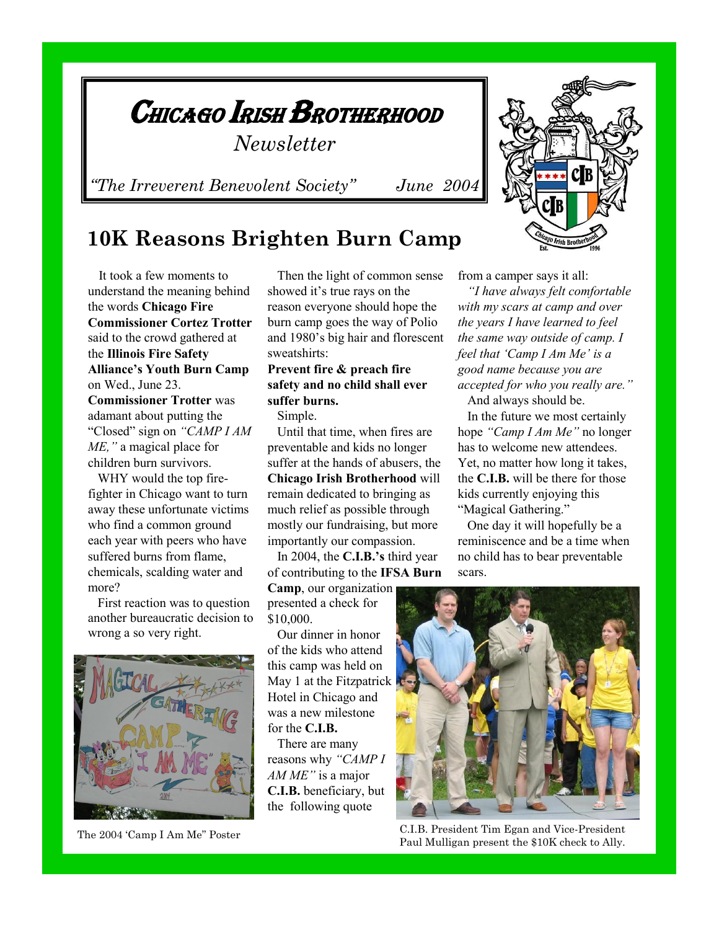

## **10K Reasons Brighten Burn Camp**

 It took a few moments to understand the meaning behind the words **Chicago Fire Commissioner Cortez Trotter**  said to the crowd gathered at the **Illinois Fire Safety Alliance's Youth Burn Camp**  on Wed., June 23. **Commissioner Trotter** was adamant about putting the

"Closed" sign on *"CAMP I AM ME,"* a magical place for children burn survivors.

 WHY would the top firefighter in Chicago want to turn away these unfortunate victims who find a common ground each year with peers who have suffered burns from flame, chemicals, scalding water and more?

 First reaction was to question another bureaucratic decision to wrong a so very right.



The 2004 'Camp I Am Me" Poster

 Then the light of common sense showed it's true rays on the reason everyone should hope the burn camp goes the way of Polio and 1980's big hair and florescent sweatshirts:

## **Prevent fire & preach fire safety and no child shall ever suffer burns.**

Simple.

 Until that time, when fires are preventable and kids no longer suffer at the hands of abusers, the **Chicago Irish Brotherhood** will remain dedicated to bringing as much relief as possible through mostly our fundraising, but more importantly our compassion.

 In 2004, the **C.I.B.'s** third year of contributing to the **IFSA Burn** 

**Camp**, our organization presented a check for \$10,000.

 Our dinner in honor of the kids who attend this camp was held on May 1 at the Fitzpatrick Hotel in Chicago and was a new milestone for the **C.I.B.**

 There are many reasons why *"CAMP I AM ME"* is a major **C.I.B.** beneficiary, but the following quote

from a camper says it all:

 *"I have always felt comfortable with my scars at camp and over the years I have learned to feel the same way outside of camp. I feel that "Camp I Am Me" is a good name because you are accepted for who you really are."* And always should be.

 In the future we most certainly hope *"Camp I Am Me"* no longer has to welcome new attendees. Yet, no matter how long it takes, the **C.I.B.** will be there for those kids currently enjoying this "Magical Gathering."

 One day it will hopefully be a reminiscence and be a time when no child has to bear preventable scars.



C.I.B. President Tim Egan and Vice-President Paul Mulligan present the \$10K check to Ally.